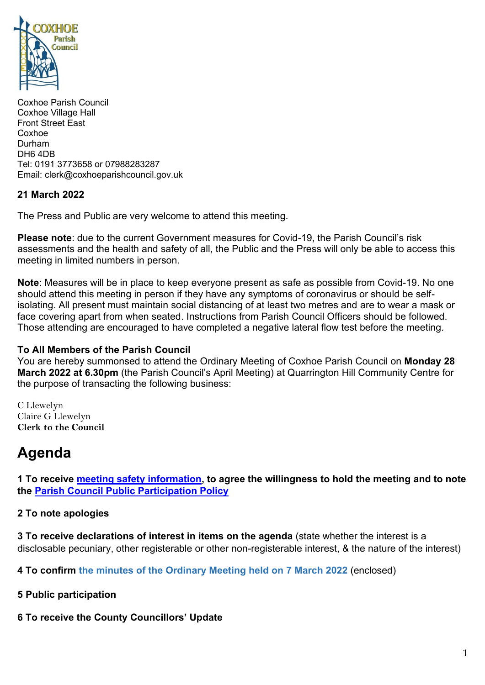

Coxhoe Parish Council Coxhoe Village Hall Front Street East Coxhoe Durham DH6 4DB Tel: 0191 3773658 or 07988283287 Email: clerk@coxhoeparishcouncil.gov.uk

#### **21 March 2022**

The Press and Public are very welcome to attend this meeting.

**Please note**: due to the current Government measures for Covid-19, the Parish Council's risk assessments and the health and safety of all, the Public and the Press will only be able to access this meeting in limited numbers in person.

**Note**: Measures will be in place to keep everyone present as safe as possible from Covid-19. No one should attend this meeting in person if they have any symptoms of coronavirus or should be selfisolating. All present must maintain social distancing of at least two metres and are to wear a mask or face covering apart from when seated. Instructions from Parish Council Officers should be followed. Those attending are encouraged to have completed a negative lateral flow test before the meeting.

#### **To All Members of the Parish Council**

You are hereby summonsed to attend the Ordinary Meeting of Coxhoe Parish Council on **Monday 28 March 2022 at 6.30pm** (the Parish Council's April Meeting) at Quarrington Hill Community Centre for the purpose of transacting the following business:

C Llewelyn Claire G Llewelyn **Clerk to the Council** 

# **Agenda**

**1 To receive [meeting safety information,](https://1drv.ms/b/s!Alg_TKmu7xwUgeNuzFHbtFkSU8Ywug?e=Ozv7Az) to agree the willingness to hold the meeting and to note the [Parish Council Public Participation Policy](http://coxhoeparishcouncil.gov.uk/important-documents-and-policies/public-participation-policy-fmarch-2020-review-date-march-2022/)**

#### **2 To note apologies**

**3 To receive declarations of interest in items on the agenda** (state whether the interest is a disclosable pecuniary, other registerable or other non-registerable interest, & the nature of the interest)

**4 To confirm the minutes of the Ordinary Meeting held on 7 March 2022** (enclosed)

#### **5 Public participation**

## **6 To receive the County Councillors' Update**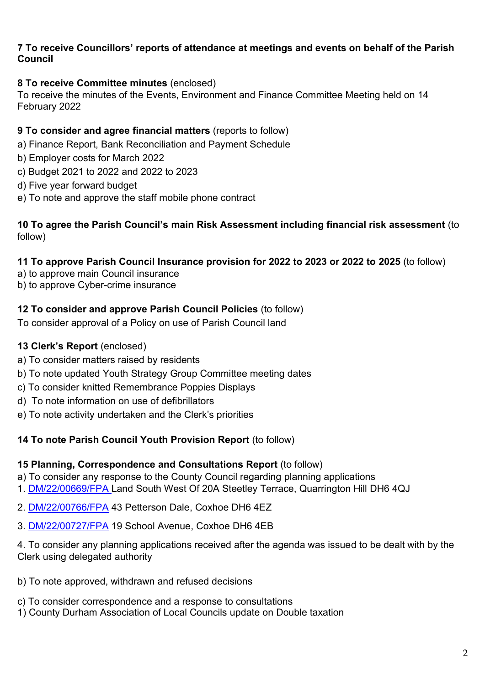#### **7 To receive Councillors' reports of attendance at meetings and events on behalf of the Parish Council**

## **8 To receive Committee minutes** (enclosed)

To receive the minutes of the Events, Environment and Finance Committee Meeting held on 14 February 2022

## **9 To consider and agree financial matters** (reports to follow)

- a) Finance Report, Bank Reconciliation and Payment Schedule
- b) Employer costs for March 2022
- c) Budget 2021 to 2022 and 2022 to 2023
- d) Five year forward budget
- e) To note and approve the staff mobile phone contract

## **10 To agree the Parish Council's main Risk Assessment including financial risk assessment** (to follow)

## **11 To approve Parish Council Insurance provision for 2022 to 2023 or 2022 to 2025** (to follow)

- a) to approve main Council insurance
- b) to approve Cyber-crime insurance

#### **12 To consider and approve Parish Council Policies** (to follow)

To consider approval of a Policy on use of Parish Council land

## **13 Clerk's Report** (enclosed)

- a) To consider matters raised by residents
- b) To note updated Youth Strategy Group Committee meeting dates
- c) To consider knitted Remembrance Poppies Displays
- d) To note information on use of defibrillators
- e) To note activity undertaken and the Clerk's priorities

#### **14 To note Parish Council Youth Provision Report** (to follow)

#### **15 Planning, Correspondence and Consultations Report** (to follow)

a) To consider any response to the County Council regarding planning applications

- 1. [DM/22/00669/FPA](https://publicaccess.durham.gov.uk/online-applications/applicationDetails.do?activeTab=summary&keyVal=R8D681GDL2K00) Land South West Of 20A Steetley Terrace, Quarrington Hill DH6 4QJ
- 2. [DM/22/00766/FPA](https://publicaccess.durham.gov.uk/online-applications/applicationDetails.do?activeTab=summary&keyVal=R8RZLVGDL7Y00) 43 Petterson Dale, Coxhoe DH6 4EZ
- 3. [DM/22/00727/FPA](https://publicaccess.durham.gov.uk/online-applications/applicationDetails.do?activeTab=summary&keyVal=R8IQ7RGDL5H00) 19 School Avenue, Coxhoe DH6 4EB

4. To consider any planning applications received after the agenda was issued to be dealt with by the Clerk using delegated authority

- b) To note approved, withdrawn and refused decisions
- c) To consider correspondence and a response to consultations
- 1) County Durham Association of Local Councils update on Double taxation